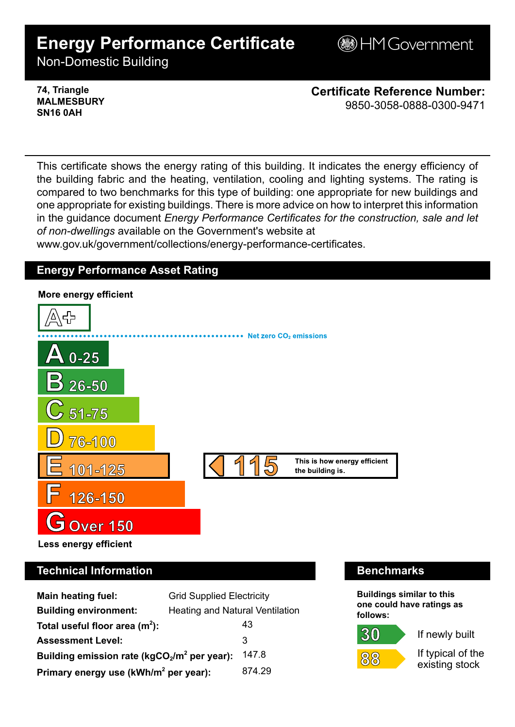# **Energy Performance Certificate**

**BHM Government** 

Non-Domestic Building

**74, Triangle MALMESBURY SN16 0AH**

**Certificate Reference Number:** 9850-3058-0888-0300-9471

This certificate shows the energy rating of this building. It indicates the energy efficiency of the building fabric and the heating, ventilation, cooling and lighting systems. The rating is compared to two benchmarks for this type of building: one appropriate for new buildings and one appropriate for existing buildings. There is more advice on how to interpret this information in the guidance document *Energy Performance Certificates for the construction, sale and let of non-dwellings* available on the Government's website at

www.gov.uk/government/collections/energy-performance-certificates.

## **Energy Performance Asset Rating**



# **Technical Information Benchmarks**

| <b>Main heating fuel:</b>                         | <b>Grid Supplied Electricity</b>       |        |
|---------------------------------------------------|----------------------------------------|--------|
| <b>Building environment:</b>                      | <b>Heating and Natural Ventilation</b> |        |
| Total useful floor area $(m2)$ :                  |                                        | 43     |
| <b>Assessment Level:</b>                          |                                        | 3      |
| Building emission rate ( $kgCO2/m2$ per year):    |                                        | 147.8  |
| Primary energy use (kWh/m <sup>2</sup> per year): |                                        | 874.29 |

**Buildings similar to this one could have ratings as follows:**

30



If newly built

If typical of the existing stock